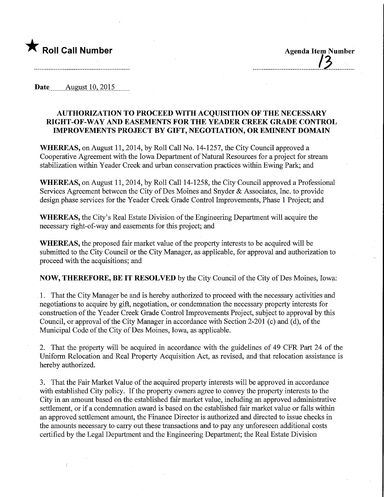

Date August 10, 2015

## AUTHORIZATION TO PROCEED WITH ACQUISITION OF THE NECESSARY MGHT-OF-WAY AND EASEMENTS FOR THE YEADER CREEK GRADE CONTROL IMPROVEMENTS PROJECT BY GIFT, NEGOTIATION, OR EMINENT DOMAIN

WHEREAS, on August 11, 2014, by Roll Call No. 14-1257, the City Council approved a Cooperative Agreement with the Iowa Department of Natural Resources for a project for stream stabilization within Yeader Creek and urban conservation practices within Ewing Park; and

WHEREAS, on August 11, 2014, by Roll Call 14-1258, the City Council approved a Professional Services Agreement between the City of Des Moines and Snyder & Associates, Inc. to provide design phase services for the Yeader Creek Grade Control Improvements, Phase 1 Project; and

WHEREAS, the City's Real Estate Division of the Engineering Department will acquire the necessary right-of-way and easements for this project; and

WHEREAS, the proposed fair market value of the property interests to be acquired will be submitted to the City Council or the City Manager, as applicable, for approval and authorization to proceed with the acquisitions; and

NOW, THEREFORE, BE IT RESOLVED by the City Council of the City of Des Moines, Iowa:

1. That the City Manager be and is hereby authorized to proceed with the necessary activities and negotiations to acquire by gift, negotiation, or condemnation the necessary property interests for construction of the Yeader Creek Grade Control Improvements Project, subject to approval by this Council, or approval of the City Manager in accordance with Section 2-201 (c) and (d), of the Municipal Code of the City of Des Moines, Iowa, as applicable.

2. That the property will be acquired in accordance with the guidelines of 49 CFR Part 24 of the Uniform Relocation and Real Property Acquisition Act, as revised, and that relocation assistance is hereby authorized.

3. That the Fair Market Value of the acquired property interests will be approved in accordance with established City policy. If the property owners agree to convey the property interests to the City in an amount based on the established fair market value, including an approved administrative settlement, or if a condemnation award is based on the established fair market value or falls within an approved settlement amount, the Finance Director is authorized and directed to issue checks in the amounts necessary to carry out these transactions and to pay any unforeseen additional costs certified by the Legal Department and the Engineering Department; the Real Estate Division